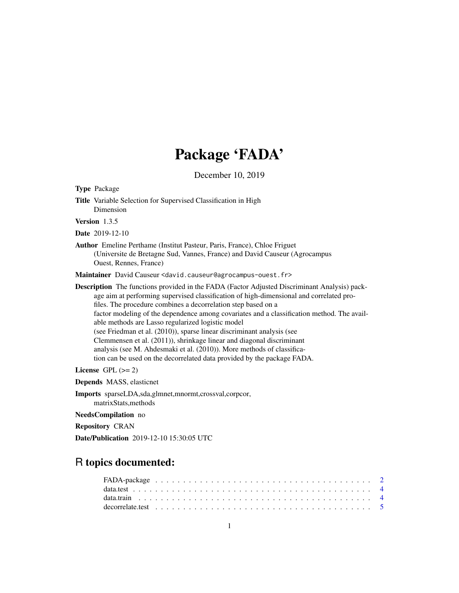## Package 'FADA'

December 10, 2019

<span id="page-0-0"></span>

| <b>Type Package</b>                                                                                                                                                                                                                                                                                                                                                                                                                                                                                                                                                                                                                                                                                                        |
|----------------------------------------------------------------------------------------------------------------------------------------------------------------------------------------------------------------------------------------------------------------------------------------------------------------------------------------------------------------------------------------------------------------------------------------------------------------------------------------------------------------------------------------------------------------------------------------------------------------------------------------------------------------------------------------------------------------------------|
| Title Variable Selection for Supervised Classification in High<br>Dimension                                                                                                                                                                                                                                                                                                                                                                                                                                                                                                                                                                                                                                                |
| Version $1.3.5$                                                                                                                                                                                                                                                                                                                                                                                                                                                                                                                                                                                                                                                                                                            |
| <b>Date</b> 2019-12-10                                                                                                                                                                                                                                                                                                                                                                                                                                                                                                                                                                                                                                                                                                     |
| <b>Author</b> Emeline Perthame (Institut Pasteur, Paris, France), Chloe Friguet<br>(Universite de Bretagne Sud, Vannes, France) and David Causeur (Agrocampus<br>Ouest, Rennes, France)                                                                                                                                                                                                                                                                                                                                                                                                                                                                                                                                    |
| Maintainer David Causeur <david.causeur@agrocampus-ouest.fr></david.causeur@agrocampus-ouest.fr>                                                                                                                                                                                                                                                                                                                                                                                                                                                                                                                                                                                                                           |
| <b>Description</b> The functions provided in the FADA (Factor Adjusted Discriminant Analysis) pack-<br>age aim at performing supervised classification of high-dimensional and correlated pro-<br>files. The procedure combines a decorrelation step based on a<br>factor modeling of the dependence among covariates and a classification method. The avail-<br>able methods are Lasso regularized logistic model<br>(see Friedman et al. (2010)), sparse linear discriminant analysis (see<br>Clemmensen et al. (2011)), shrinkage linear and diagonal discriminant<br>analysis (see M. Ahdesmaki et al. (2010)). More methods of classifica-<br>tion can be used on the decorrelated data provided by the package FADA. |
| License $GPL (= 2)$                                                                                                                                                                                                                                                                                                                                                                                                                                                                                                                                                                                                                                                                                                        |
| <b>Depends</b> MASS, elasticnet                                                                                                                                                                                                                                                                                                                                                                                                                                                                                                                                                                                                                                                                                            |
| <b>Imports</b> sparseLDA, sda, glmnet, mnormt, crossval, corpcor,<br>matrixStats, methods                                                                                                                                                                                                                                                                                                                                                                                                                                                                                                                                                                                                                                  |
| NeedsCompilation no                                                                                                                                                                                                                                                                                                                                                                                                                                                                                                                                                                                                                                                                                                        |
| <b>Repository CRAN</b>                                                                                                                                                                                                                                                                                                                                                                                                                                                                                                                                                                                                                                                                                                     |
| Date/Publication 2019-12-10 15:30:05 UTC                                                                                                                                                                                                                                                                                                                                                                                                                                                                                                                                                                                                                                                                                   |

### R topics documented: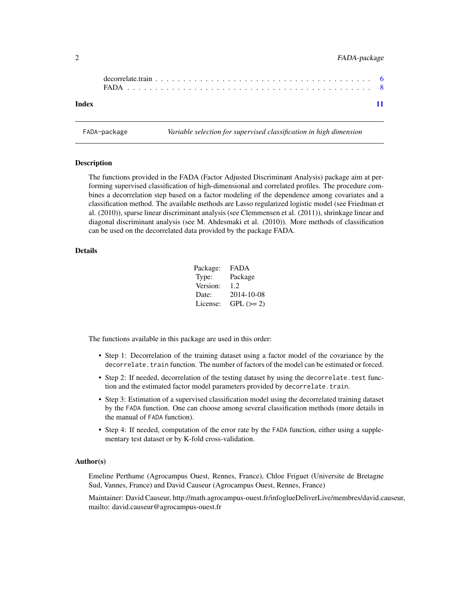#### <span id="page-1-0"></span>2 FADA-package

| Index |  |  |  |  |  |  |  |  |  |  |  |  |  |  |  |  |  |  |
|-------|--|--|--|--|--|--|--|--|--|--|--|--|--|--|--|--|--|--|

<span id="page-1-1"></span>FADA-package *Variable selection for supervised classification in high dimension*

Description

The functions provided in the FADA (Factor Adjusted Discriminant Analysis) package aim at performing supervised classification of high-dimensional and correlated profiles. The procedure combines a decorrelation step based on a factor modeling of the dependence among covariates and a classification method. The available methods are Lasso regularized logistic model (see Friedman et al. (2010)), sparse linear discriminant analysis (see Clemmensen et al. (2011)), shrinkage linear and diagonal discriminant analysis (see M. Ahdesmaki et al. (2010)). More methods of classification can be used on the decorrelated data provided by the package FADA.

#### Details

| Package: | FADA       |
|----------|------------|
| Type:    | Package    |
| Version: | 1.2.       |
| Date:    | 2014-10-08 |
| License: | $GPL (=2)$ |

The functions available in this package are used in this order:

- Step 1: Decorrelation of the training dataset using a factor model of the covariance by the decorrelate. train function. The number of factors of the model can be estimated or forced.
- Step 2: If needed, decorrelation of the testing dataset by using the decorrelate.test function and the estimated factor model parameters provided by decorrelate.train.
- Step 3: Estimation of a supervised classification model using the decorrelated training dataset by the FADA function. One can choose among several classification methods (more details in the manual of FADA function).
- Step 4: If needed, computation of the error rate by the FADA function, either using a supplementary test dataset or by K-fold cross-validation.

#### Author(s)

Emeline Perthame (Agrocampus Ouest, Rennes, France), Chloe Friguet (Universite de Bretagne Sud, Vannes, France) and David Causeur (Agrocampus Ouest, Rennes, France)

Maintainer: David Causeur, http://math.agrocampus-ouest.fr/infoglueDeliverLive/membres/david.causeur, mailto: david.causeur@agrocampus-ouest.fr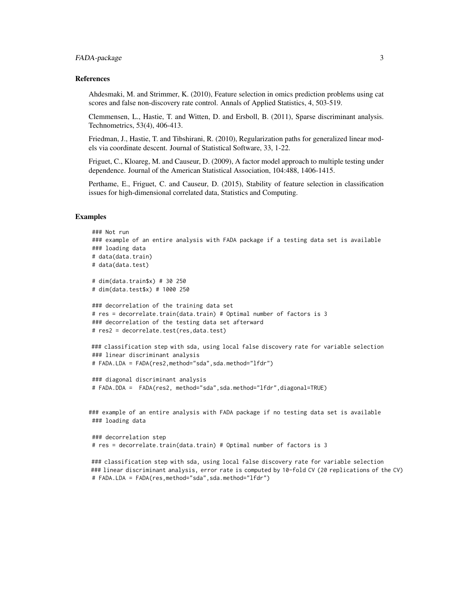#### FADA-package 3

#### References

Ahdesmaki, M. and Strimmer, K. (2010), Feature selection in omics prediction problems using cat scores and false non-discovery rate control. Annals of Applied Statistics, 4, 503-519.

Clemmensen, L., Hastie, T. and Witten, D. and Ersboll, B. (2011), Sparse discriminant analysis. Technometrics, 53(4), 406-413.

Friedman, J., Hastie, T. and Tibshirani, R. (2010), Regularization paths for generalized linear models via coordinate descent. Journal of Statistical Software, 33, 1-22.

Friguet, C., Kloareg, M. and Causeur, D. (2009), A factor model approach to multiple testing under dependence. Journal of the American Statistical Association, 104:488, 1406-1415.

Perthame, E., Friguet, C. and Causeur, D. (2015), Stability of feature selection in classification issues for high-dimensional correlated data, Statistics and Computing.

#### Examples

```
### Not run
### example of an entire analysis with FADA package if a testing data set is available
### loading data
# data(data.train)
# data(data.test)
# dim(data.train$x) # 30 250
# dim(data.test$x) # 1000 250
### decorrelation of the training data set
# res = decorrelate.train(data.train) # Optimal number of factors is 3
### decorrelation of the testing data set afterward
# res2 = decorrelate.test(res,data.test)
### classification step with sda, using local false discovery rate for variable selection
### linear discriminant analysis
# FADA.LDA = FADA(res2,method="sda",sda.method="lfdr")
### diagonal discriminant analysis
# FADA.DDA = FADA(res2, method="sda",sda.method="lfdr",diagonal=TRUE)
### example of an entire analysis with FADA package if no testing data set is available
### loading data
### decorrelation step
```

```
# res = decorrelate.train(data.train) # Optimal number of factors is 3
```
### classification step with sda, using local false discovery rate for variable selection ### linear discriminant analysis, error rate is computed by 10-fold CV (20 replications of the CV) # FADA.LDA = FADA(res,method="sda",sda.method="lfdr")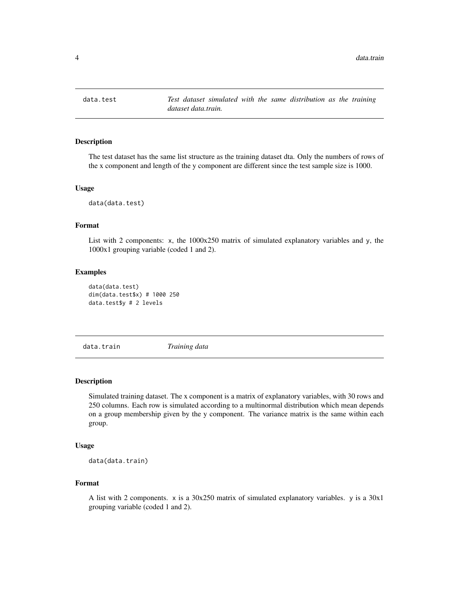<span id="page-3-0"></span>

#### Description

The test dataset has the same list structure as the training dataset dta. Only the numbers of rows of the x component and length of the y component are different since the test sample size is 1000.

#### Usage

data(data.test)

#### Format

List with 2 components: x, the  $1000x250$  matrix of simulated explanatory variables and y, the 1000x1 grouping variable (coded 1 and 2).

#### Examples

```
data(data.test)
dim(data.test$x) # 1000 250
data.test$y # 2 levels
```
data.train *Training data*

#### Description

Simulated training dataset. The x component is a matrix of explanatory variables, with 30 rows and 250 columns. Each row is simulated according to a multinormal distribution which mean depends on a group membership given by the y component. The variance matrix is the same within each group.

#### Usage

```
data(data.train)
```
#### Format

A list with 2 components.  $x$  is a 30x250 matrix of simulated explanatory variables. y is a 30x1 grouping variable (coded 1 and 2).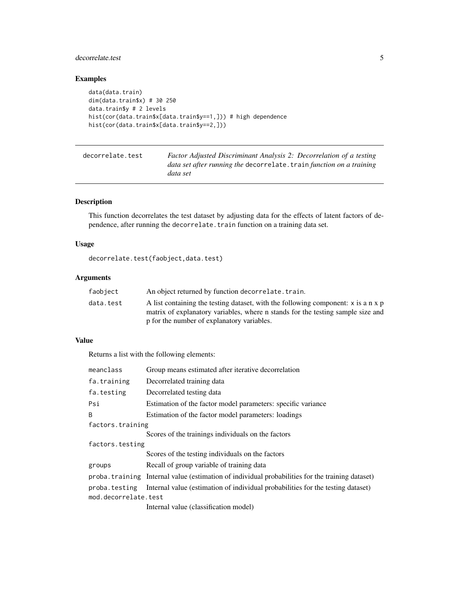### <span id="page-4-0"></span>decorrelate.test 5

### Examples

```
data(data.train)
dim(data.train$x) # 30 250
data.train$y # 2 levels
hist(cor(data.train$x[data.train$y==1,])) # high dependence
hist(cor(data.train$x[data.train$y==2,]))
```
<span id="page-4-1"></span>

| decorrelate.test | Factor Adjusted Discriminant Analysis 2: Decorrelation of a testing  |
|------------------|----------------------------------------------------------------------|
|                  | data set after running the decorrelate. train function on a training |
|                  | data set                                                             |

#### Description

This function decorrelates the test dataset by adjusting data for the effects of latent factors of dependence, after running the decorrelate.train function on a training data set.

### Usage

decorrelate.test(faobject,data.test)

#### Arguments

| faobject  | An object returned by function decorrelate. train.                                                                                                                   |
|-----------|----------------------------------------------------------------------------------------------------------------------------------------------------------------------|
| data.test | A list containing the testing dataset, with the following component: x is a n x p<br>matrix of explanatory variables, where n stands for the testing sample size and |
|           | p for the number of explanatory variables.                                                                                                                           |

#### Value

Returns a list with the following elements:

| meanclass            | Group means estimated after iterative decorrelation                                              |
|----------------------|--------------------------------------------------------------------------------------------------|
| fa.training          | Decorrelated training data                                                                       |
| fa.testing           | Decorrelated testing data                                                                        |
| Psi                  | Estimation of the factor model parameters: specific variance                                     |
| B                    | Estimation of the factor model parameters: loadings                                              |
| factors.training     |                                                                                                  |
|                      | Scores of the trainings individuals on the factors                                               |
| factors.testing      |                                                                                                  |
|                      | Scores of the testing individuals on the factors                                                 |
| groups               | Recall of group variable of training data                                                        |
|                      | proba. training Internal value (estimation of individual probabilities for the training dataset) |
|                      | proba. testing Internal value (estimation of individual probabilities for the testing dataset)   |
| mod.decorrelate.test |                                                                                                  |
|                      | Internal value (classification model)                                                            |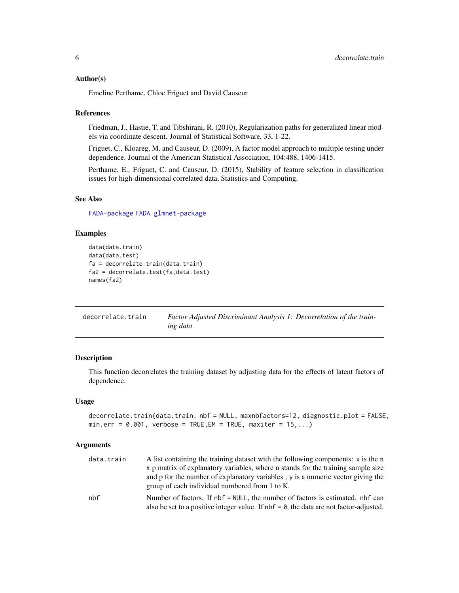#### <span id="page-5-0"></span>Author(s)

Emeline Perthame, Chloe Friguet and David Causeur

#### References

Friedman, J., Hastie, T. and Tibshirani, R. (2010), Regularization paths for generalized linear models via coordinate descent. Journal of Statistical Software, 33, 1-22.

Friguet, C., Kloareg, M. and Causeur, D. (2009), A factor model approach to multiple testing under dependence. Journal of the American Statistical Association, 104:488, 1406-1415.

Perthame, E., Friguet, C. and Causeur, D. (2015), Stability of feature selection in classification issues for high-dimensional correlated data, Statistics and Computing.

#### See Also

[FADA-package](#page-1-1) [FADA](#page-7-1) [glmnet-package](#page-0-0)

#### Examples

```
data(data.train)
data(data.test)
fa = decorrelate.train(data.train)
fa2 = decorrelate.test(fa,data.test)
names(fa2)
```
<span id="page-5-1"></span>

| decorrelate.train | Factor Adjusted Discriminant Analysis 1: Decorrelation of the train- |
|-------------------|----------------------------------------------------------------------|
|                   | ing data                                                             |

#### **Description**

This function decorrelates the training dataset by adjusting data for the effects of latent factors of dependence.

#### Usage

```
decorrelate.train(data.train, nbf = NULL, maxnbfactors=12, diagnostic.plot = FALSE,
min.err = 0.001, verbose = TRUE, EM = TRUE, maxiter = 15,...)
```
#### Arguments

| data.train | A list containing the training dataset with the following components: x is the n          |
|------------|-------------------------------------------------------------------------------------------|
|            | x p matrix of explanatory variables, where n stands for the training sample size          |
|            | and p for the number of explanatory variables; y is a numeric vector giving the           |
|            | group of each individual numbered from 1 to K.                                            |
| nhf        | Number of factors. If nbf = NULL, the number of factors is estimated. nbf can             |
|            | also be set to a positive integer value. If $nbf = 0$ , the data are not factor-adjusted. |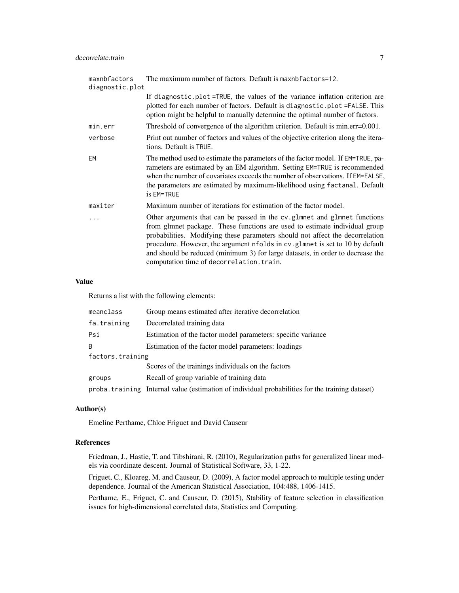| maxnbfactors<br>diagnostic.plot | The maximum number of factors. Default is maxnbfactors=12.                                                                                                                                                                                                                                                                                                                                                                                              |
|---------------------------------|---------------------------------------------------------------------------------------------------------------------------------------------------------------------------------------------------------------------------------------------------------------------------------------------------------------------------------------------------------------------------------------------------------------------------------------------------------|
|                                 | If diagnostic.plot=TRUE, the values of the variance inflation criterion are<br>plotted for each number of factors. Default is diagnostic.plot=FALSE. This<br>option might be helpful to manually determine the optimal number of factors.                                                                                                                                                                                                               |
| min.err                         | Threshold of convergence of the algorithm criterion. Default is min.err=0.001.                                                                                                                                                                                                                                                                                                                                                                          |
| verbose                         | Print out number of factors and values of the objective criterion along the itera-<br>tions. Default is TRUE.                                                                                                                                                                                                                                                                                                                                           |
| EM                              | The method used to estimate the parameters of the factor model. If EM=TRUE, pa-<br>rameters are estimated by an EM algorithm. Setting EM=TRUE is recommended<br>when the number of covariates exceeds the number of observations. If EM=FALSE,<br>the parameters are estimated by maximum-likelihood using factanal. Default<br>is EM=TRUE                                                                                                              |
| maxiter                         | Maximum number of iterations for estimation of the factor model.                                                                                                                                                                                                                                                                                                                                                                                        |
|                                 | Other arguments that can be passed in the cv.glmnet and glmnet functions<br>from glmnet package. These functions are used to estimate individual group<br>probabilities. Modifying these parameters should not affect the decorrelation<br>procedure. However, the argument nfolds in cv. glmnet is set to 10 by default<br>and should be reduced (minimum 3) for large datasets, in order to decrease the<br>computation time of decorrelation. train. |

#### Value

Returns a list with the following elements:

| meanclass        | Group means estimated after iterative decorrelation                                              |
|------------------|--------------------------------------------------------------------------------------------------|
| fa.training      | Decorrelated training data                                                                       |
| Psi              | Estimation of the factor model parameters: specific variance                                     |
| <sub>R</sub>     | Estimation of the factor model parameters: loadings                                              |
| factors.training |                                                                                                  |
|                  | Scores of the trainings individuals on the factors                                               |
| groups           | Recall of group variable of training data                                                        |
|                  | proba. training Internal value (estimation of individual probabilities for the training dataset) |

#### Author(s)

Emeline Perthame, Chloe Friguet and David Causeur

#### References

Friedman, J., Hastie, T. and Tibshirani, R. (2010), Regularization paths for generalized linear models via coordinate descent. Journal of Statistical Software, 33, 1-22.

Friguet, C., Kloareg, M. and Causeur, D. (2009), A factor model approach to multiple testing under dependence. Journal of the American Statistical Association, 104:488, 1406-1415.

Perthame, E., Friguet, C. and Causeur, D. (2015), Stability of feature selection in classification issues for high-dimensional correlated data, Statistics and Computing.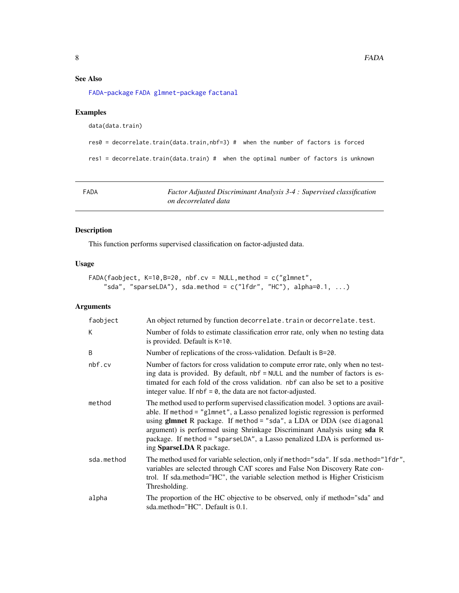#### <span id="page-7-0"></span>See Also

[FADA-package](#page-1-1) [FADA](#page-7-1) [glmnet-package](#page-0-0) [factanal](#page-0-0)

#### Examples

data(data.train)

```
res0 = decorrelate.train(data.train,nbf=3) # when the number of factors is forced
```
res1 = decorrelate.train(data.train) # when the optimal number of factors is unknown

<span id="page-7-1"></span>

| FADA | Factor Adjusted Discriminant Analysis 3-4 : Supervised classification |
|------|-----------------------------------------------------------------------|
|      | on decorrelated data                                                  |

#### Description

This function performs supervised classification on factor-adjusted data.

#### Usage

```
FADA(faobject, K=10,B=20, nbf.cv = NULL,method = c("glmnet",
    "sda", "sparseLDA"), sda.method = c("1fdr", "HC"), alpha=0.1, ...)
```
#### Arguments

| faobject   | An object returned by function decorrelate. train or decorrelate. test.                                                                                                                                                                                                                                                                                                                                                         |
|------------|---------------------------------------------------------------------------------------------------------------------------------------------------------------------------------------------------------------------------------------------------------------------------------------------------------------------------------------------------------------------------------------------------------------------------------|
| K          | Number of folds to estimate classification error rate, only when no testing data<br>is provided. Default is $K=10$ .                                                                                                                                                                                                                                                                                                            |
| B          | Number of replications of the cross-validation. Default is $B=20$ .                                                                                                                                                                                                                                                                                                                                                             |
| nbf.cv     | Number of factors for cross validation to compute error rate, only when no test-<br>ing data is provided. By default, nbf = NULL and the number of factors is es-<br>timated for each fold of the cross validation. nbf can also be set to a positive<br>integer value. If $nbf = 0$ , the data are not factor-adjusted.                                                                                                        |
| method     | The method used to perform supervised classification model. 3 options are avail-<br>able. If method = "glmnet", a Lasso penalized logistic regression is performed<br>using glmnet R package. If method = "sda", a LDA or DDA (see diagonal<br>argument) is performed using Shrinkage Discriminant Analysis using sda R<br>package. If method = "sparseLDA", a Lasso penalized LDA is performed us-<br>ing SparseLDA R package. |
| sda.method | The method used for variable selection, only if method="sda". If sda.method="1fdr",<br>variables are selected through CAT scores and False Non Discovery Rate con-<br>trol. If sda.method="HC", the variable selection method is Higher Cristicism<br>Thresholding.                                                                                                                                                             |
| alpha      | The proportion of the HC objective to be observed, only if method="sda" and<br>sda.method="HC". Default is 0.1.                                                                                                                                                                                                                                                                                                                 |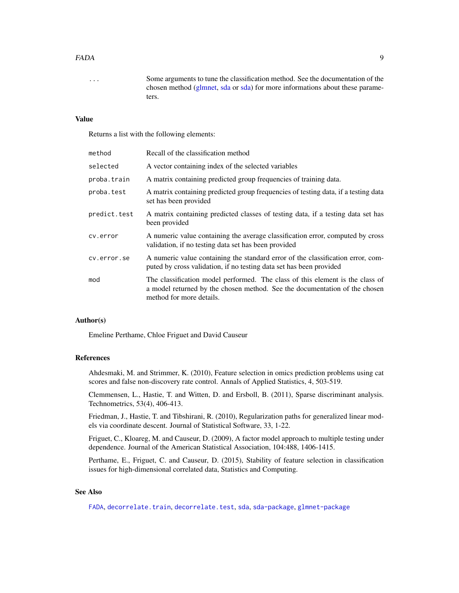#### <span id="page-8-0"></span>FADA 9

... Some arguments to tune the classification method. See the documentation of the chosen method [\(glmnet,](#page-0-0) [sda](#page-0-0) or [sda\)](#page-0-0) for more informations about these parameters.

#### Value

Returns a list with the following elements:

| Recall of the classification method                                                                                                                                                     |
|-----------------------------------------------------------------------------------------------------------------------------------------------------------------------------------------|
| A vector containing index of the selected variables                                                                                                                                     |
| A matrix containing predicted group frequencies of training data.                                                                                                                       |
| A matrix containing predicted group frequencies of testing data, if a testing data<br>set has been provided                                                                             |
| A matrix containing predicted classes of testing data, if a testing data set has<br>been provided                                                                                       |
| A numeric value containing the average classification error, computed by cross<br>validation, if no testing data set has been provided                                                  |
| A numeric value containing the standard error of the classification error, com-<br>puted by cross validation, if no testing data set has been provided                                  |
| The classification model performed. The class of this element is the class of<br>a model returned by the chosen method. See the documentation of the chosen<br>method for more details. |
|                                                                                                                                                                                         |

#### Author(s)

Emeline Perthame, Chloe Friguet and David Causeur

#### References

Ahdesmaki, M. and Strimmer, K. (2010), Feature selection in omics prediction problems using cat scores and false non-discovery rate control. Annals of Applied Statistics, 4, 503-519.

Clemmensen, L., Hastie, T. and Witten, D. and Ersboll, B. (2011), Sparse discriminant analysis. Technometrics, 53(4), 406-413.

Friedman, J., Hastie, T. and Tibshirani, R. (2010), Regularization paths for generalized linear models via coordinate descent. Journal of Statistical Software, 33, 1-22.

Friguet, C., Kloareg, M. and Causeur, D. (2009), A factor model approach to multiple testing under dependence. Journal of the American Statistical Association, 104:488, 1406-1415.

Perthame, E., Friguet, C. and Causeur, D. (2015), Stability of feature selection in classification issues for high-dimensional correlated data, Statistics and Computing.

#### See Also

[FADA](#page-7-1), [decorrelate.train](#page-5-1), [decorrelate.test](#page-4-1), [sda](#page-0-0), [sda-package](#page-0-0), [glmnet-package](#page-0-0)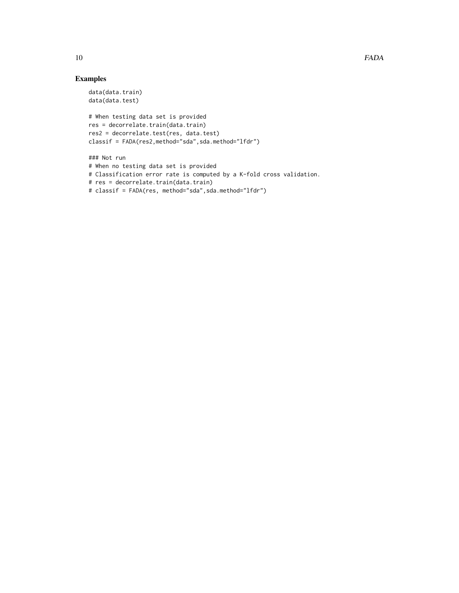### Examples

```
data(data.train)
data(data.test)
```

```
# When testing data set is provided
res = decorrelate.train(data.train)
res2 = decorrelate.test(res, data.test)
classif = FADA(res2,method="sda",sda.method="lfdr")
```

```
### Not run
# When no testing data set is provided
# Classification error rate is computed by a K-fold cross validation.
# res = decorrelate.train(data.train)
# classif = FADA(res, method="sda",sda.method="lfdr")
```